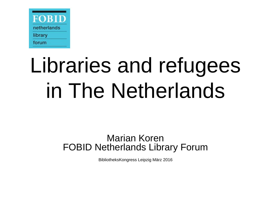

### Libraries and refugees in The Netherlands

#### Marian Koren FOBID Netherlands Library Forum

BibliotheksKongress Leipzig März 2016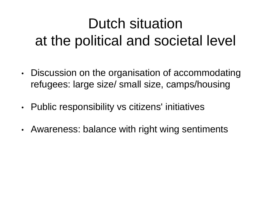#### Dutch situation at the political and societal level

- Discussion on the organisation of accommodating refugees: large size/ small size, camps/housing
- Public responsibility vs citizens' initiatives
- Awareness: balance with right wing sentiments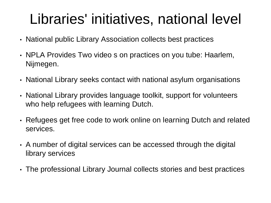#### Libraries' initiatives, national level

- National public Library Association collects best practices
- NPLA Provides Two video s on practices on you tube: Haarlem, Nijmegen.
- National Library seeks contact with national asylum organisations
- National Library provides language toolkit, support for volunteers who help refugees with learning Dutch.
- Refugees get free code to work online on learning Dutch and related services.
- A number of digital services can be accessed through the digital library services
- The professional Library Journal collects stories and best practices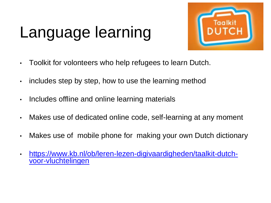### Language learning



- Toolkit for volonteers who help refugees to learn Dutch.
- includes step by step, how to use the learning method
- Includes offline and online learning materials
- Makes use of dedicated online code, self-learning at any moment
- Makes use of mobile phone for making your own Dutch dictionary
- [https://www.kb.nl/ob/leren-lezen-digivaardigheden/taalkit-dutch](https://www.kb.nl/ob/leren-lezen-digivaardigheden/taalkit-dutch-voor-vluchtelingen)[voor-vluchtelingen](https://www.kb.nl/ob/leren-lezen-digivaardigheden/taalkit-dutch-voor-vluchtelingen)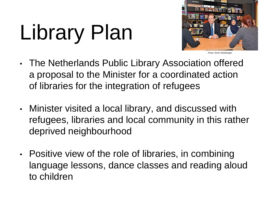# Library Plan



Photo: Eimer Wieldraaije

- The Netherlands Public Library Association offered a proposal to the Minister for a coordinated action of libraries for the integration of refugees
- Minister visited a local library, and discussed with refugees, libraries and local community in this rather deprived neighbourhood
- Positive view of the role of libraries, in combining language lessons, dance classes and reading aloud to children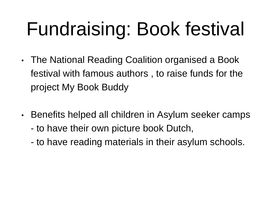### Fundraising: Book festival

- The National Reading Coalition organised a Book festival with famous authors , to raise funds for the project My Book Buddy
- Benefits helped all children in Asylum seeker camps
	- to have their own picture book Dutch,
	- to have reading materials in their asylum schools.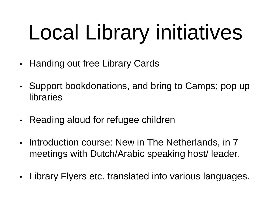# Local Library initiatives

- Handing out free Library Cards
- Support bookdonations, and bring to Camps; pop up libraries
- Reading aloud for refugee children
- Introduction course: New in The Netherlands, in 7 meetings with Dutch/Arabic speaking host/ leader.
- Library Flyers etc. translated into various languages.